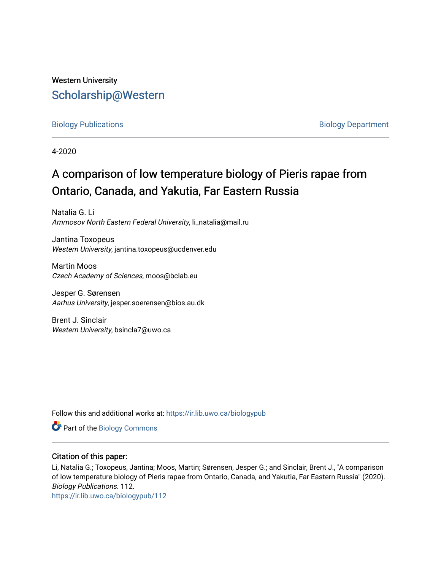## Western University [Scholarship@Western](https://ir.lib.uwo.ca/)

### [Biology Publications](https://ir.lib.uwo.ca/biologypub) **Biology Department**

4-2020

# A comparison of low temperature biology of Pieris rapae from Ontario, Canada, and Yakutia, Far Eastern Russia

Natalia G. Li Ammosov North Eastern Federal University, li\_natalia@mail.ru

Jantina Toxopeus Western University, jantina.toxopeus@ucdenver.edu

Martin Moos Czech Academy of Sciences, moos@bclab.eu

Jesper G. Sørensen Aarhus University, jesper.soerensen@bios.au.dk

Brent J. Sinclair Western University, bsincla7@uwo.ca

Follow this and additional works at: [https://ir.lib.uwo.ca/biologypub](https://ir.lib.uwo.ca/biologypub?utm_source=ir.lib.uwo.ca%2Fbiologypub%2F112&utm_medium=PDF&utm_campaign=PDFCoverPages)

Part of the [Biology Commons](http://network.bepress.com/hgg/discipline/41?utm_source=ir.lib.uwo.ca%2Fbiologypub%2F112&utm_medium=PDF&utm_campaign=PDFCoverPages) 

## Citation of this paper:

Li, Natalia G.; Toxopeus, Jantina; Moos, Martin; Sørensen, Jesper G.; and Sinclair, Brent J., "A comparison of low temperature biology of Pieris rapae from Ontario, Canada, and Yakutia, Far Eastern Russia" (2020). Biology Publications. 112.

[https://ir.lib.uwo.ca/biologypub/112](https://ir.lib.uwo.ca/biologypub/112?utm_source=ir.lib.uwo.ca%2Fbiologypub%2F112&utm_medium=PDF&utm_campaign=PDFCoverPages)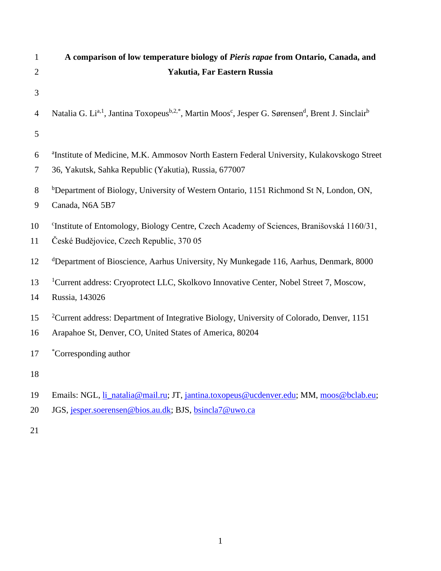| $\mathbf{1}$   | A comparison of low temperature biology of Pieris rapae from Ontario, Canada, and                                                                                 |
|----------------|-------------------------------------------------------------------------------------------------------------------------------------------------------------------|
| $\overline{2}$ | Yakutia, Far Eastern Russia                                                                                                                                       |
| 3              |                                                                                                                                                                   |
| $\overline{4}$ | Natalia G. Li <sup>a, 1</sup> , Jantina Toxopeus <sup>b, 2,*</sup> , Martin Moos <sup>c</sup> , Jesper G. Sørensen <sup>d</sup> , Brent J. Sinclair <sup>b</sup>  |
| 5              |                                                                                                                                                                   |
| 6<br>$\tau$    | <sup>a</sup> Institute of Medicine, M.K. Ammosov North Eastern Federal University, Kulakovskogo Street<br>36, Yakutsk, Sahka Republic (Yakutia), Russia, 677007   |
| 8<br>9         | <sup>b</sup> Department of Biology, University of Western Ontario, 1151 Richmond St N, London, ON,<br>Canada, N6A 5B7                                             |
| 10<br>11       | <sup>c</sup> Institute of Entomology, Biology Centre, Czech Academy of Sciences, Branišovská 1160/31,<br>České Budějovice, Czech Republic, 370 05                 |
| 12             | <sup>d</sup> Department of Bioscience, Aarhus University, Ny Munkegade 116, Aarhus, Denmark, 8000                                                                 |
| 13<br>14       | <sup>1</sup> Current address: Cryoprotect LLC, Skolkovo Innovative Center, Nobel Street 7, Moscow,<br>Russia, 143026                                              |
| 15<br>16       | <sup>2</sup> Current address: Department of Integrative Biology, University of Colorado, Denver, 1151<br>Arapahoe St, Denver, CO, United States of America, 80204 |
| 17             | <i>*Corresponding author</i>                                                                                                                                      |
| 18             |                                                                                                                                                                   |
| 19             | Emails: NGL, <i>li_natalia@mail.ru</i> ; JT, <i>jantina.toxopeus@ucdenver.edu</i> ; MM, <i>moos@bclab.eu</i> ;                                                    |
| 20             | JGS, jesper.soerensen@bios.au.dk; BJS, bsincla7@uwo.ca                                                                                                            |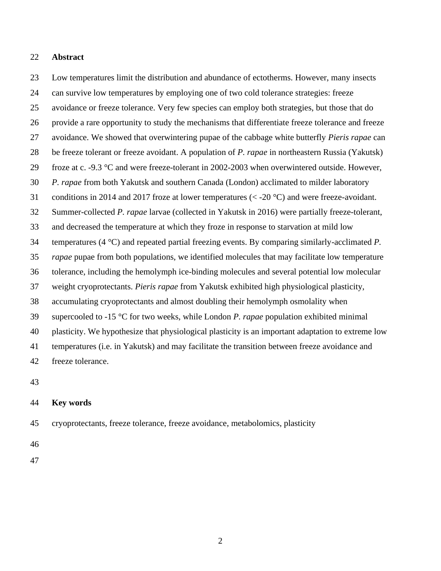#### **Abstract**

 Low temperatures limit the distribution and abundance of ectotherms. However, many insects can survive low temperatures by employing one of two cold tolerance strategies: freeze avoidance or freeze tolerance. Very few species can employ both strategies, but those that do provide a rare opportunity to study the mechanisms that differentiate freeze tolerance and freeze avoidance. We showed that overwintering pupae of the cabbage white butterfly *Pieris rapae* can be freeze tolerant or freeze avoidant. A population of *P. rapae* in northeastern Russia (Yakutsk) froze at c. -9.3 °C and were freeze-tolerant in 2002-2003 when overwintered outside. However, *P. rapae* from both Yakutsk and southern Canada (London) acclimated to milder laboratory conditions in 2014 and 2017 froze at lower temperatures (< -20 °C) and were freeze-avoidant. Summer-collected *P. rapae* larvae (collected in Yakutsk in 2016) were partially freeze-tolerant, and decreased the temperature at which they froze in response to starvation at mild low temperatures (4 °C) and repeated partial freezing events. By comparing similarly-acclimated *P. rapae* pupae from both populations, we identified molecules that may facilitate low temperature tolerance, including the hemolymph ice-binding molecules and several potential low molecular weight cryoprotectants. *Pieris rapae* from Yakutsk exhibited high physiological plasticity, accumulating cryoprotectants and almost doubling their hemolymph osmolality when supercooled to -15 °C for two weeks, while London *P. rapae* population exhibited minimal plasticity. We hypothesize that physiological plasticity is an important adaptation to extreme low temperatures (i.e. in Yakutsk) and may facilitate the transition between freeze avoidance and freeze tolerance.

#### **Key words**

cryoprotectants, freeze tolerance, freeze avoidance, metabolomics, plasticity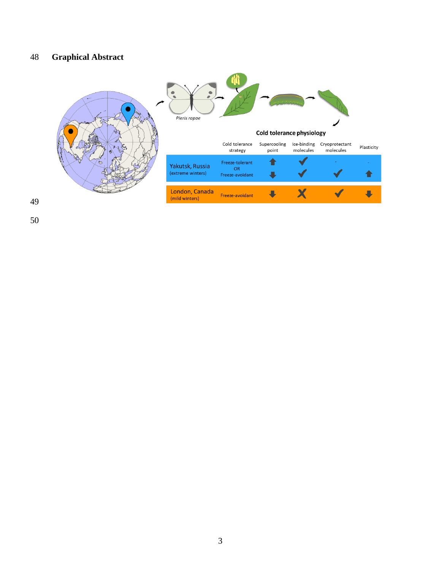## **Graphical Abstract**

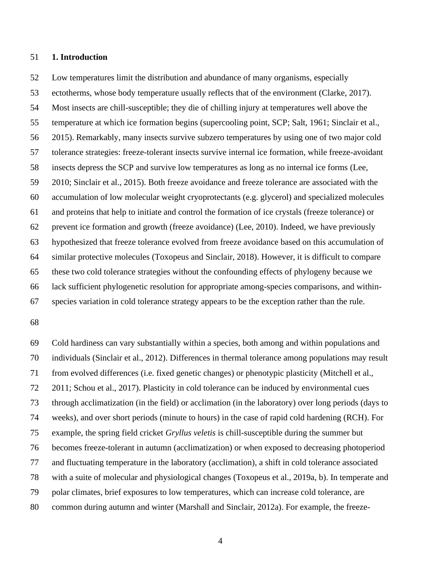#### **1. Introduction**

 Low temperatures limit the distribution and abundance of many organisms, especially ectotherms, whose body temperature usually reflects that of the environment (Clarke, 2017). Most insects are chill-susceptible; they die of chilling injury at temperatures well above the temperature at which ice formation begins (supercooling point, SCP; Salt, 1961; Sinclair et al., 2015). Remarkably, many insects survive subzero temperatures by using one of two major cold tolerance strategies: freeze-tolerant insects survive internal ice formation, while freeze-avoidant insects depress the SCP and survive low temperatures as long as no internal ice forms (Lee, 2010; Sinclair et al., 2015). Both freeze avoidance and freeze tolerance are associated with the accumulation of low molecular weight cryoprotectants (e.g. glycerol) and specialized molecules and proteins that help to initiate and control the formation of ice crystals (freeze tolerance) or prevent ice formation and growth (freeze avoidance) (Lee, 2010). Indeed, we have previously hypothesized that freeze tolerance evolved from freeze avoidance based on this accumulation of similar protective molecules (Toxopeus and Sinclair, 2018). However, it is difficult to compare these two cold tolerance strategies without the confounding effects of phylogeny because we lack sufficient phylogenetic resolution for appropriate among-species comparisons, and within-species variation in cold tolerance strategy appears to be the exception rather than the rule.

 Cold hardiness can vary substantially within a species, both among and within populations and individuals (Sinclair et al., 2012). Differences in thermal tolerance among populations may result from evolved differences (i.e. fixed genetic changes) or phenotypic plasticity (Mitchell et al., 2011; Schou et al., 2017). Plasticity in cold tolerance can be induced by environmental cues through acclimatization (in the field) or acclimation (in the laboratory) over long periods (days to weeks), and over short periods (minute to hours) in the case of rapid cold hardening (RCH). For example, the spring field cricket *Gryllus veletis* is chill-susceptible during the summer but becomes freeze-tolerant in autumn (acclimatization) or when exposed to decreasing photoperiod and fluctuating temperature in the laboratory (acclimation), a shift in cold tolerance associated with a suite of molecular and physiological changes (Toxopeus et al., 2019a, b). In temperate and polar climates, brief exposures to low temperatures, which can increase cold tolerance, are common during autumn and winter (Marshall and Sinclair, 2012a). For example, the freeze-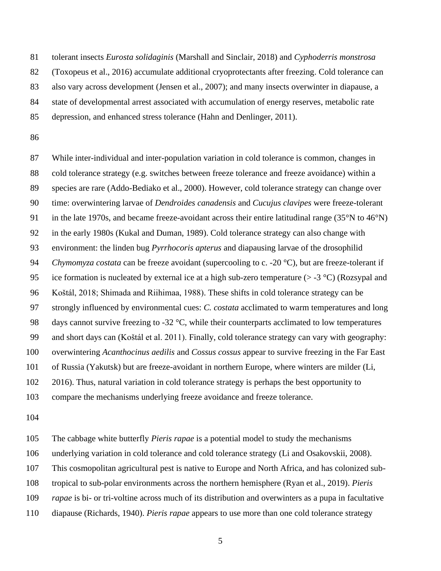tolerant insects *Eurosta solidaginis* (Marshall and Sinclair, 2018) and *Cyphoderris monstrosa* 

(Toxopeus et al., 2016) accumulate additional cryoprotectants after freezing. Cold tolerance can

also vary across development (Jensen et al., 2007); and many insects overwinter in diapause, a

state of developmental arrest associated with accumulation of energy reserves, metabolic rate

depression, and enhanced stress tolerance (Hahn and Denlinger, 2011).

 While inter-individual and inter-population variation in cold tolerance is common, changes in cold tolerance strategy (e.g. switches between freeze tolerance and freeze avoidance) within a species are rare (Addo-Bediako et al., 2000). However, cold tolerance strategy can change over time: overwintering larvae of *Dendroides canadensis* and *Cucujus clavipes* were freeze-tolerant in the late 1970s, and became freeze-avoidant across their entire latitudinal range (35°N to 46°N) in the early 1980s (Kukal and Duman, 1989). Cold tolerance strategy can also change with environment: the linden bug *Pyrrhocoris apterus* and diapausing larvae of the drosophilid *Chymomyza costata* can be freeze avoidant (supercooling to c. -20 °C), but are freeze-tolerant if 95 ice formation is nucleated by external ice at a high sub-zero temperature  $(> -3 \degree C)$  (Rozsypal and Koštál, 2018; Shimada and Riihimaa, 1988). These shifts in cold tolerance strategy can be strongly influenced by environmental cues: *C. costata* acclimated to warm temperatures and long 98 days cannot survive freezing to -32 °C, while their counterparts acclimated to low temperatures and short days can (Koštál et al. 2011). Finally, cold tolerance strategy can vary with geography: overwintering *Acanthocinus aedilis* and *Cossus cossus* appear to survive freezing in the Far East of Russia (Yakutsk) but are freeze-avoidant in northern Europe, where winters are milder (Li, 2016). Thus, natural variation in cold tolerance strategy is perhaps the best opportunity to compare the mechanisms underlying freeze avoidance and freeze tolerance.

The cabbage white butterfly *Pieris rapae* is a potential model to study the mechanisms

underlying variation in cold tolerance and cold tolerance strategy (Li and Osakovskii, 2008).

This cosmopolitan agricultural pest is native to Europe and North Africa, and has colonized sub-

tropical to sub-polar environments across the northern hemisphere (Ryan et al., 2019). *Pieris* 

*rapae* is bi- or tri-voltine across much of its distribution and overwinters as a pupa in facultative

diapause (Richards, 1940). *Pieris rapae* appears to use more than one cold tolerance strategy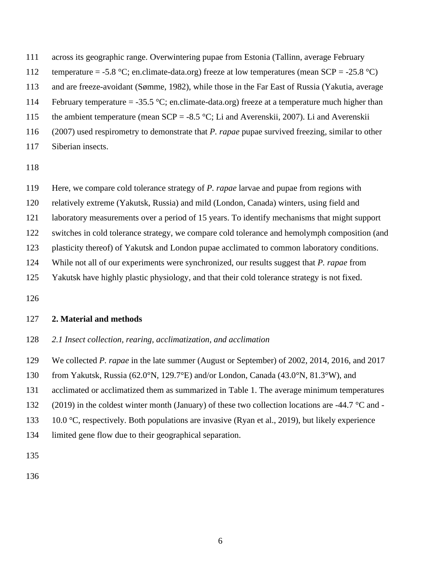across its geographic range. Overwintering pupae from Estonia (Tallinn, average February

112 temperature = -5.8 °C; en.climate-data.org) freeze at low temperatures (mean  $SCP = -25.8$  °C)

and are freeze-avoidant (Sømme, 1982), while those in the Far East of Russia (Yakutia, average

114 February temperature  $=$  -35.5 °C; en.climate-data.org) freeze at a temperature much higher than

115 the ambient temperature (mean  $SCP = -8.5 \degree C$ ; Li and Averenskii, 2007). Li and Averenskii

- (2007) used respirometry to demonstrate that *P. rapae* pupae survived freezing, similar to other
- Siberian insects.

Here, we compare cold tolerance strategy of *P. rapae* larvae and pupae from regions with

relatively extreme (Yakutsk, Russia) and mild (London, Canada) winters, using field and

laboratory measurements over a period of 15 years. To identify mechanisms that might support

switches in cold tolerance strategy, we compare cold tolerance and hemolymph composition (and

plasticity thereof) of Yakutsk and London pupae acclimated to common laboratory conditions.

While not all of our experiments were synchronized, our results suggest that *P. rapae* from

Yakutsk have highly plastic physiology, and that their cold tolerance strategy is not fixed.

## **2. Material and methods**

*2.1 Insect collection, rearing, acclimatization, and acclimation* 

We collected *P. rapae* in the late summer (August or September) of 2002, 2014, 2016, and 2017

from Yakutsk, Russia (62.0°N, 129.7°E) and/or London, Canada (43.0°N, 81.3°W), and

acclimated or acclimatized them as summarized in Table 1. The average minimum temperatures

(2019) in the coldest winter month (January) of these two collection locations are -44.7 °C and -

133 10.0 °C, respectively. Both populations are invasive (Ryan et al., 2019), but likely experience

limited gene flow due to their geographical separation.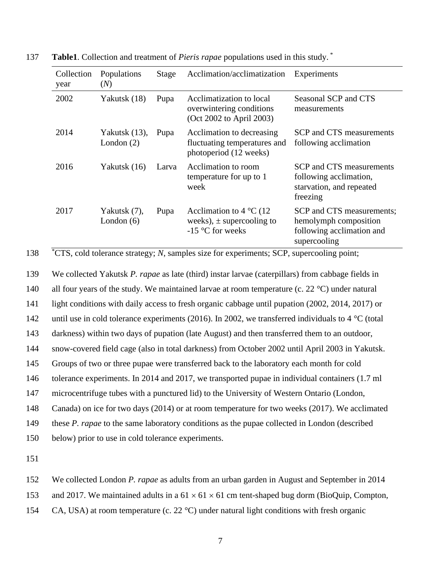| Collection<br>year | Populations<br>(N)               | <b>Stage</b> | Acclimation/acclimatization                                                              | Experiments                                                                                     |
|--------------------|----------------------------------|--------------|------------------------------------------------------------------------------------------|-------------------------------------------------------------------------------------------------|
| 2002               | Yakutsk (18)                     | Pupa         | Acclimatization to local<br>overwintering conditions<br>(Oct 2002 to April 2003)         | Seasonal SCP and CTS<br>measurements                                                            |
| 2014               | Yakutsk $(13)$ ,<br>London $(2)$ | Pupa         | Acclimation to decreasing<br>fluctuating temperatures and<br>photoperiod (12 weeks)      | SCP and CTS measurements<br>following acclimation                                               |
| 2016               | Yakutsk (16)                     | Larva        | Acclimation to room<br>temperature for up to 1<br>week                                   | SCP and CTS measurements<br>following acclimation,<br>starvation, and repeated<br>freezing      |
| 2017               | Yakutsk (7),<br>London $(6)$     | Pupa         | Acclimation to $4^{\circ}$ C (12)<br>weeks), $\pm$ supercooling to<br>$-15$ °C for weeks | SCP and CTS measurements;<br>hemolymph composition<br>following acclimation and<br>supercooling |

**Table1**. Collection and treatment of *Pieris rapae* populations used in this study. \* 137

<sup>\*</sup>CTS, cold tolerance strategy; *N*, samples size for experiments; SCP, supercooling point;

 We collected Yakutsk *P. rapae* as late (third) instar larvae (caterpillars) from cabbage fields in all four years of the study. We maintained larvae at room temperature (c. 22 °C) under natural light conditions with daily access to fresh organic cabbage until pupation (2002, 2014, 2017) or 142 until use in cold tolerance experiments (2016). In 2002, we transferred individuals to 4 °C (total darkness) within two days of pupation (late August) and then transferred them to an outdoor, snow-covered field cage (also in total darkness) from October 2002 until April 2003 in Yakutsk. Groups of two or three pupae were transferred back to the laboratory each month for cold tolerance experiments. In 2014 and 2017, we transported pupae in individual containers (1.7 ml microcentrifuge tubes with a punctured lid) to the University of Western Ontario (London, Canada) on ice for two days (2014) or at room temperature for two weeks (2017). We acclimated these *P. rapae* to the same laboratory conditions as the pupae collected in London (described below) prior to use in cold tolerance experiments.

151

152 We collected London *P. rapae* as adults from an urban garden in August and September in 2014

153 and 2017. We maintained adults in a  $61 \times 61 \times 61$  cm tent-shaped bug dorm (BioQuip, Compton,

154 CA, USA) at room temperature (c. 22 °C) under natural light conditions with fresh organic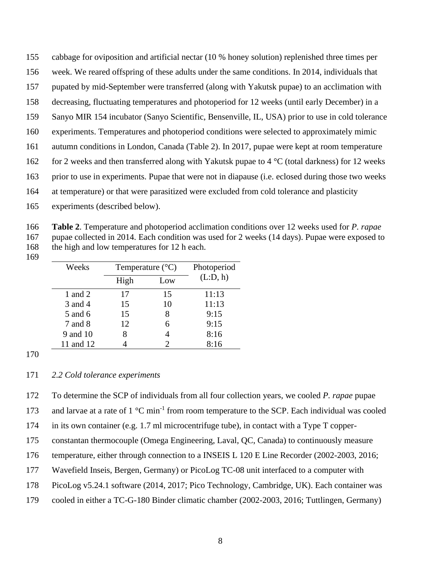cabbage for oviposition and artificial nectar (10 % honey solution) replenished three times per

- week. We reared offspring of these adults under the same conditions. In 2014, individuals that
- pupated by mid-September were transferred (along with Yakutsk pupae) to an acclimation with
- decreasing, fluctuating temperatures and photoperiod for 12 weeks (until early December) in a
- Sanyo MIR 154 incubator (Sanyo Scientific, Bensenville, IL, USA) prior to use in cold tolerance
- experiments. Temperatures and photoperiod conditions were selected to approximately mimic
- autumn conditions in London, Canada (Table 2). In 2017, pupae were kept at room temperature
- 162 for 2 weeks and then transferred along with Yakutsk pupae to 4  $^{\circ}$ C (total darkness) for 12 weeks
- prior to use in experiments. Pupae that were not in diapause (i.e. eclosed during those two weeks
- at temperature) or that were parasitized were excluded from cold tolerance and plasticity
- experiments (described below).

 **Table 2**. Temperature and photoperiod acclimation conditions over 12 weeks used for *P. rapae* pupae collected in 2014. Each condition was used for 2 weeks (14 days). Pupae were exposed to 168 the high and low temperatures for 12 h each.

| Weeks     |      | Temperature $(^{\circ}C)$ | Photoperiod |
|-----------|------|---------------------------|-------------|
|           | High | Low                       | (L:D, h)    |
| 1 and 2   | 17   | 15                        | 11:13       |
| 3 and 4   | 15   | 10                        | 11:13       |
| 5 and 6   | 15   | 8                         | 9:15        |
| 7 and 8   | 12   |                           | 9:15        |
| 9 and 10  | 8    |                           | 8:16        |
| 11 and 12 |      |                           | 8:16        |

## *2.2 Cold tolerance experiments*

To determine the SCP of individuals from all four collection years, we cooled *P. rapae* pupae

173 and larvae at a rate of  $1 \,^{\circ}\text{C min}^{-1}$  from room temperature to the SCP. Each individual was cooled

in its own container (e.g. 1.7 ml microcentrifuge tube), in contact with a Type T copper-

- constantan thermocouple (Omega Engineering, Laval, QC, Canada) to continuously measure
- 176 temperature, either through connection to a INSEIS L 120 E Line Recorder (2002-2003, 2016;
- Wavefield Inseis, Bergen, Germany) or PicoLog TC-08 unit interfaced to a computer with

PicoLog v5.24.1 software (2014, 2017; Pico Technology, Cambridge, UK). Each container was

cooled in either a TC-G-180 Binder climatic chamber (2002-2003, 2016; Tuttlingen, Germany)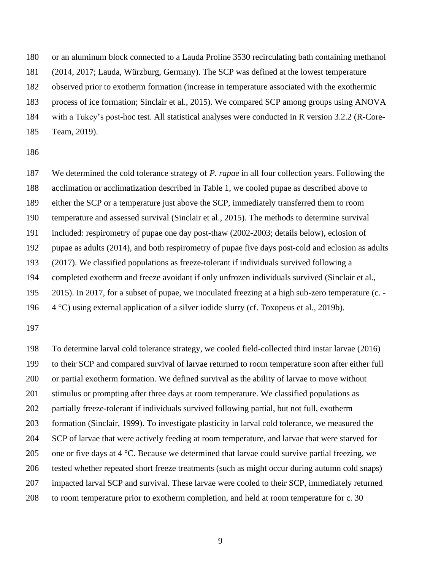or an aluminum block connected to a Lauda Proline 3530 recirculating bath containing methanol

(2014, 2017; Lauda, Würzburg, Germany). The SCP was defined at the lowest temperature

observed prior to exotherm formation (increase in temperature associated with the exothermic

process of ice formation; Sinclair et al., 2015). We compared SCP among groups using ANOVA

with a Tukey's post-hoc test. All statistical analyses were conducted in R version 3.2.2 (R-Core-

Team, 2019).

 We determined the cold tolerance strategy of *P. rapae* in all four collection years. Following the acclimation or acclimatization described in Table 1, we cooled pupae as described above to either the SCP or a temperature just above the SCP, immediately transferred them to room temperature and assessed survival (Sinclair et al., 2015). The methods to determine survival included: respirometry of pupae one day post-thaw (2002-2003; details below), eclosion of pupae as adults (2014), and both respirometry of pupae five days post-cold and eclosion as adults (2017). We classified populations as freeze-tolerant if individuals survived following a completed exotherm and freeze avoidant if only unfrozen individuals survived (Sinclair et al., 2015). In 2017, for a subset of pupae, we inoculated freezing at a high sub-zero temperature (c. - 4 °C) using external application of a silver iodide slurry (cf. Toxopeus et al., 2019b).

 To determine larval cold tolerance strategy, we cooled field-collected third instar larvae (2016) to their SCP and compared survival of larvae returned to room temperature soon after either full or partial exotherm formation. We defined survival as the ability of larvae to move without stimulus or prompting after three days at room temperature. We classified populations as partially freeze-tolerant if individuals survived following partial, but not full, exotherm formation (Sinclair, 1999). To investigate plasticity in larval cold tolerance, we measured the SCP of larvae that were actively feeding at room temperature, and larvae that were starved for 205 one or five days at 4  $\degree$ C. Because we determined that larvae could survive partial freezing, we tested whether repeated short freeze treatments (such as might occur during autumn cold snaps) impacted larval SCP and survival. These larvae were cooled to their SCP, immediately returned to room temperature prior to exotherm completion, and held at room temperature for c. 30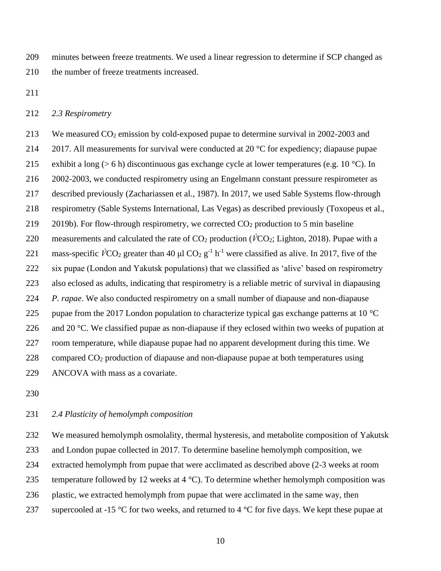minutes between freeze treatments. We used a linear regression to determine if SCP changed as the number of freeze treatments increased.

#### *2.3 Respirometry*

 We measured CO<sup>2</sup> emission by cold-exposed pupae to determine survival in 2002-2003 and 214 2017. All measurements for survival were conducted at 20  $^{\circ}$ C for expediency; diapause pupae 215 exhibit a long ( $> 6$  h) discontinuous gas exchange cycle at lower temperatures (e.g. 10 °C). In 2002-2003, we conducted respirometry using an Engelmann constant pressure respirometer as described previously (Zachariassen et al., 1987). In 2017, we used Sable Systems flow-through respirometry (Sable Systems International, Las Vegas) as described previously (Toxopeus et al., 219 2019b). For flow-through respirometry, we corrected  $CO<sub>2</sub>$  production to 5 min baseline 220 measurements and calculated the rate of  $CO_2$  production ( $\dot{V}CO_2$ ; Lighton, 2018). Pupae with a 221 mass-specific  $\dot{V}CO_2$  greater than 40  $\mu$ l CO<sub>2</sub> g<sup>-1</sup> h<sup>-1</sup> were classified as alive. In 2017, five of the six pupae (London and Yakutsk populations) that we classified as 'alive' based on respirometry also eclosed as adults, indicating that respirometry is a reliable metric of survival in diapausing *P. rapae*. We also conducted respirometry on a small number of diapause and non-diapause 225 pupae from the 2017 London population to characterize typical gas exchange patterns at 10  $^{\circ}$ C 226 and 20  $\degree$ C. We classified pupae as non-diapause if they eclosed within two weeks of pupation at room temperature, while diapause pupae had no apparent development during this time. We compared CO<sup>2</sup> production of diapause and non-diapause pupae at both temperatures using ANCOVA with mass as a covariate.

## *2.4 Plasticity of hemolymph composition*

 We measured hemolymph osmolality, thermal hysteresis, and metabolite composition of Yakutsk and London pupae collected in 2017. To determine baseline hemolymph composition, we extracted hemolymph from pupae that were acclimated as described above (2-3 weeks at room 235 temperature followed by 12 weeks at 4  $^{\circ}$ C). To determine whether hemolymph composition was plastic, we extracted hemolymph from pupae that were acclimated in the same way, then 237 supercooled at -15  $\degree$ C for two weeks, and returned to 4  $\degree$ C for five days. We kept these pupae at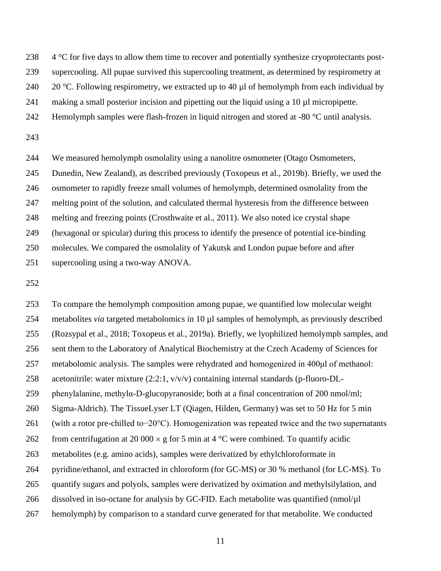238 4 °C for five days to allow them time to recover and potentially synthesize cryoprotectants post-

supercooling. All pupae survived this supercooling treatment, as determined by respirometry at

240 20 °C. Following respirometry, we extracted up to 40  $\mu$ l of hemolymph from each individual by

making a small posterior incision and pipetting out the liquid using a 10 µl micropipette.

- 242 Hemolymph samples were flash-frozen in liquid nitrogen and stored at -80 °C until analysis.
- 

 We measured hemolymph osmolality using a nanolitre osmometer (Otago Osmometers, Dunedin, New Zealand), as described previously (Toxopeus et al., 2019b). Briefly, we used the osmometer to rapidly freeze small volumes of hemolymph, determined osmolality from the melting point of the solution, and calculated thermal hysteresis from the difference between melting and freezing points (Crosthwaite et al., 2011). We also noted ice crystal shape (hexagonal or spicular) during this process to identify the presence of potential ice-binding molecules. We compared the osmolality of Yakutsk and London pupae before and after supercooling using a two-way ANOVA.

 To compare the hemolymph composition among pupae, we quantified low molecular weight metabolites *via* targeted metabolomics in 10 µl samples of hemolymph, as previously described (Rozsypal et al., 2018; Toxopeus et al., 2019a). Briefly, we lyophilized hemolymph samples, and sent them to the Laboratory of Analytical Biochemistry at the Czech Academy of Sciences for metabolomic analysis. The samples were rehydrated and homogenized in 400μl of methanol: acetonitrile: water mixture (2:2:1, v/v/v) containing internal standards (p-fluoro-DL- phenylalanine, methylα-D-glucopyranoside; both at a final concentration of 200 nmol/ml; Sigma-Aldrich). The TissueLyser LT (Qiagen, Hilden, Germany) was set to 50 Hz for 5 min (with a rotor pre-chilled to−20°C). Homogenization was repeated twice and the two supernatants 262 from centrifugation at 20 000  $\times$  g for 5 min at 4 °C were combined. To quantify acidic metabolites (e.g. amino acids), samples were derivatized by ethylchloroformate in pyridine/ethanol, and extracted in chloroform (for GC-MS) or 30 % methanol (for LC-MS). To quantify sugars and polyols, samples were derivatized by oximation and methylsilylation, and 266 dissolved in iso-octane for analysis by GC-FID. Each metabolite was quantified (nmol/µl hemolymph) by comparison to a standard curve generated for that metabolite. We conducted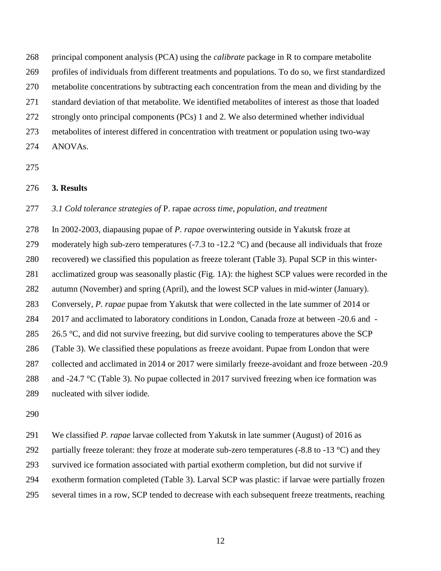principal component analysis (PCA) using the *calibrate* package in R to compare metabolite profiles of individuals from different treatments and populations. To do so, we first standardized metabolite concentrations by subtracting each concentration from the mean and dividing by the standard deviation of that metabolite. We identified metabolites of interest as those that loaded strongly onto principal components (PCs) 1 and 2. We also determined whether individual metabolites of interest differed in concentration with treatment or population using two-way ANOVAs.

## **3. Results**

### *3.1 Cold tolerance strategies of* P. rapae *across time, population, and treatment*

 In 2002-2003, diapausing pupae of *P. rapae* overwintering outside in Yakutsk froze at 279 moderately high sub-zero temperatures (-7.3 to -12.2 °C) and (because all individuals that froze recovered) we classified this population as freeze tolerant (Table 3). Pupal SCP in this winter- acclimatized group was seasonally plastic (Fig. 1A): the highest SCP values were recorded in the autumn (November) and spring (April), and the lowest SCP values in mid-winter (January). Conversely, *P. rapae* pupae from Yakutsk that were collected in the late summer of 2014 or 2017 and acclimated to laboratory conditions in London, Canada froze at between -20.6 and - 285 26.5  $\degree$ C, and did not survive freezing, but did survive cooling to temperatures above the SCP (Table 3). We classified these populations as freeze avoidant. Pupae from London that were collected and acclimated in 2014 or 2017 were similarly freeze-avoidant and froze between -20.9 and -24.7 °C (Table 3). No pupae collected in 2017 survived freezing when ice formation was nucleated with silver iodide.

We classified *P. rapae* larvae collected from Yakutsk in late summer (August) of 2016 as

292 partially freeze tolerant: they froze at moderate sub-zero temperatures (-8.8 to -13  $^{\circ}$ C) and they

survived ice formation associated with partial exotherm completion, but did not survive if

- exotherm formation completed (Table 3). Larval SCP was plastic: if larvae were partially frozen
- several times in a row, SCP tended to decrease with each subsequent freeze treatments, reaching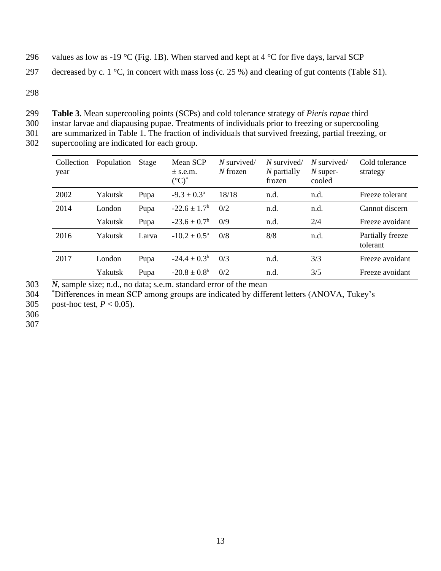- 296 values as low as -19 °C (Fig. 1B). When starved and kept at 4 °C for five days, larval SCP
- 297 decreased by c. 1  $\degree$ C, in concert with mass loss (c. 25 %) and clearing of gut contents (Table S1).
- 298

299 **Table 3**. Mean supercooling points (SCPs) and cold tolerance strategy of *Pieris rapae* third 300 instar larvae and diapausing pupae. Treatments of individuals prior to freezing or supercooling

301 are summarized in Table 1. The fraction of individuals that survived freezing, partial freezing, or

302 supercooling are indicated for each group.

| Collection<br>year | Population | Stage | Mean SCP<br>$\pm$ s.e.m.<br>$({}^{\circ}{\rm C})^{*}$ | $N$ survived/<br>$N$ frozen | $N$ survived/<br>$N$ partially<br>frozen | $N$ survived/<br>$N$ super-<br>cooled | Cold tolerance<br>strategy   |
|--------------------|------------|-------|-------------------------------------------------------|-----------------------------|------------------------------------------|---------------------------------------|------------------------------|
| 2002               | Yakutsk    | Pupa  | $-9.3 \pm 0.3^{\text{a}}$                             | 18/18                       | n.d.                                     | n.d.                                  | Freeze tolerant              |
| 2014               | London     | Pupa  | $-22.6 \pm 1.7^{\rm b}$                               | 0/2                         | n.d.                                     | n.d.                                  | Cannot discern               |
|                    | Yakutsk    | Pupa  | $-23.6 \pm 0.7^{\rm b}$                               | 0/9                         | n.d.                                     | 2/4                                   | Freeze avoidant              |
| 2016               | Yakutsk    | Larva | $-10.2 \pm 0.5^{\text{a}}$                            | 0/8                         | 8/8                                      | n.d.                                  | Partially freeze<br>tolerant |
| 2017               | London     | Pupa  | $-24.4 \pm 0.3^{\rm b}$                               | 0/3                         | n.d.                                     | 3/3                                   | Freeze avoidant              |
|                    | Yakutsk    | Pupa  | $-20.8 \pm 0.8^{\rm b}$                               | 0/2                         | n.d.                                     | 3/5                                   | Freeze avoidant              |
|                    |            |       |                                                       |                             |                                          |                                       |                              |

303 *N*, sample size; n.d., no data; s.e.m. standard error of the mean

\* 304 Differences in mean SCP among groups are indicated by different letters (ANOVA, Tukey's

305 post-hoc test, *P* < 0.05).

306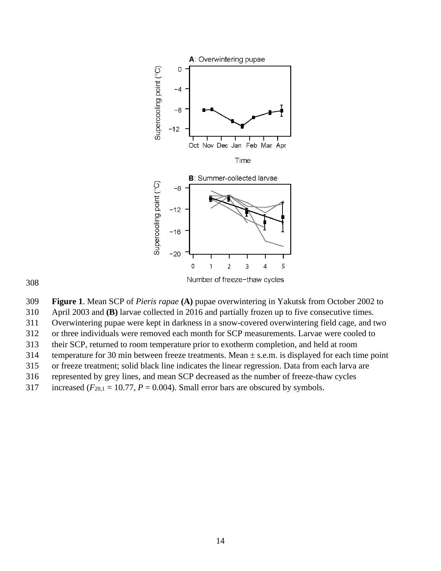

 **Figure 1**. Mean SCP of *Pieris rapae* **(A)** pupae overwintering in Yakutsk from October 2002 to April 2003 and **(B)** larvae collected in 2016 and partially frozen up to five consecutive times. Overwintering pupae were kept in darkness in a snow-covered overwintering field cage, and two or three individuals were removed each month for SCP measurements. Larvae were cooled to their SCP, returned to room temperature prior to exotherm completion, and held at room 314 temperature for 30 min between freeze treatments. Mean  $\pm$  s.e.m. is displayed for each time point or freeze treatment; solid black line indicates the linear regression. Data from each larva are represented by grey lines, and mean SCP decreased as the number of freeze-thaw cycles 317 increased  $(F_{20,1} = 10.77, P = 0.004)$ . Small error bars are obscured by symbols.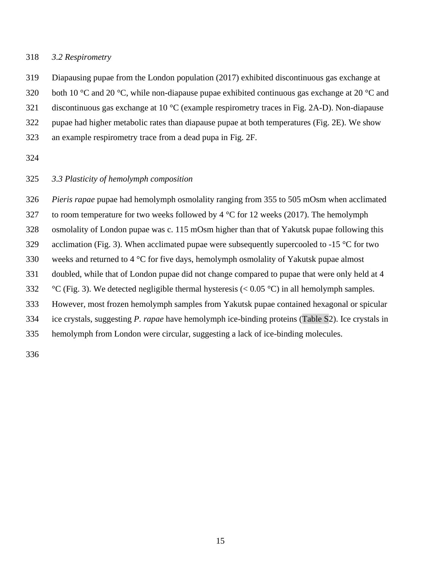## *3.2 Respirometry*

Diapausing pupae from the London population (2017) exhibited discontinuous gas exchange at

320 both 10 °C and 20 °C, while non-diapause pupae exhibited continuous gas exchange at 20 °C and

discontinuous gas exchange at 10 °C (example respirometry traces in Fig. 2A-D). Non-diapause

pupae had higher metabolic rates than diapause pupae at both temperatures (Fig. 2E). We show

an example respirometry trace from a dead pupa in Fig. 2F.

## *3.3 Plasticity of hemolymph composition*

 *Pieris rapae* pupae had hemolymph osmolality ranging from 355 to 505 mOsm when acclimated 327 to room temperature for two weeks followed by  $4^{\circ}$ C for 12 weeks (2017). The hemolymph osmolality of London pupae was c. 115 mOsm higher than that of Yakutsk pupae following this 329 acclimation (Fig. 3). When acclimated pupae were subsequently supercooled to -15  $\degree$ C for two weeks and returned to 4 °C for five days, hemolymph osmolality of Yakutsk pupae almost doubled, while that of London pupae did not change compared to pupae that were only held at 4 332 °C (Fig. 3). We detected negligible thermal hysteresis (<  $0.05$  °C) in all hemolymph samples. However, most frozen hemolymph samples from Yakutsk pupae contained hexagonal or spicular ice crystals, suggesting *P. rapae* have hemolymph ice-binding proteins (Table S2). Ice crystals in hemolymph from London were circular, suggesting a lack of ice-binding molecules.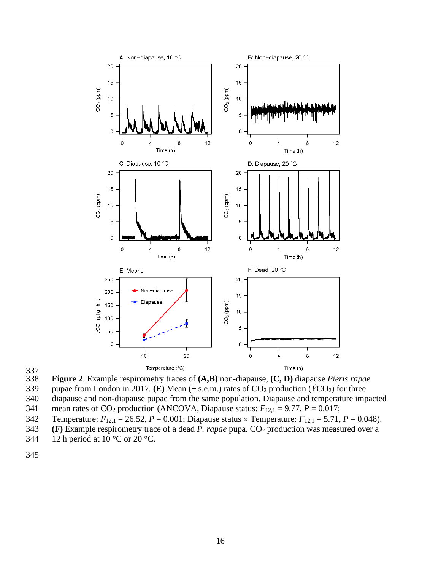

337<br>338

338 **Figure 2**. Example respirometry traces of **(A,B)** non-diapause, **(C, D)** diapause *Pieris rapae* 



340 diapause and non-diapause pupae from the same population. Diapause and temperature impacted

341 mean rates of CO<sub>2</sub> production (ANCOVA, Diapause status:  $F_{12,1} = 9.77$ ,  $P = 0.017$ ;

342 Temperature:  $F_{12,1} = 26.52$ ,  $P = 0.001$ ; Diapause status  $\times$  Temperature:  $F_{12,1} = 5.71$ ,  $P = 0.048$ ).

343 **(F)** Example respirometry trace of a dead *P. rapae* pupa. CO<sup>2</sup> production was measured over a

344 12 h period at  $10^{\circ}$ C or  $20^{\circ}$ C.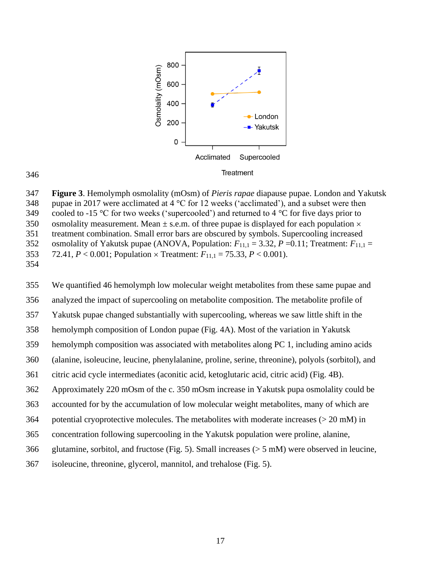

 **Figure 3**. Hemolymph osmolality (mOsm) of *Pieris rapae* diapause pupae. London and Yakutsk 348 pupae in 2017 were acclimated at 4  $\degree$ C for 12 weeks ('acclimated'), and a subset were then 349 cooled to -15 °C for two weeks ('supercooled') and returned to 4 °C for five days prior to 350 osmolality measurement. Mean  $\pm$  s.e.m. of three pupae is displayed for each population  $\times$  treatment combination. Small error bars are obscured by symbols. Supercooling increased 352 osmolality of Yakutsk pupae (ANOVA, Population:  $F_{11,1} = 3.32$ ,  $P = 0.11$ ; Treatment:  $F_{11,1} =$ 353 72.41,  $P < 0.001$ ; Population  $\times$  Treatment:  $F_{11,1} = 75.33$ ,  $P < 0.001$ ). 

 We quantified 46 hemolymph low molecular weight metabolites from these same pupae and analyzed the impact of supercooling on metabolite composition. The metabolite profile of Yakutsk pupae changed substantially with supercooling, whereas we saw little shift in the hemolymph composition of London pupae (Fig. 4A). Most of the variation in Yakutsk hemolymph composition was associated with metabolites along PC 1, including amino acids (alanine, isoleucine, leucine, phenylalanine, proline, serine, threonine), polyols (sorbitol), and citric acid cycle intermediates (aconitic acid, ketoglutaric acid, citric acid) (Fig. 4B). Approximately 220 mOsm of the c. 350 mOsm increase in Yakutsk pupa osmolality could be accounted for by the accumulation of low molecular weight metabolites, many of which are potential cryoprotective molecules. The metabolites with moderate increases (> 20 mM) in concentration following supercooling in the Yakutsk population were proline, alanine, glutamine, sorbitol, and fructose (Fig. 5). Small increases (> 5 mM) were observed in leucine,

isoleucine, threonine, glycerol, mannitol, and trehalose (Fig. 5).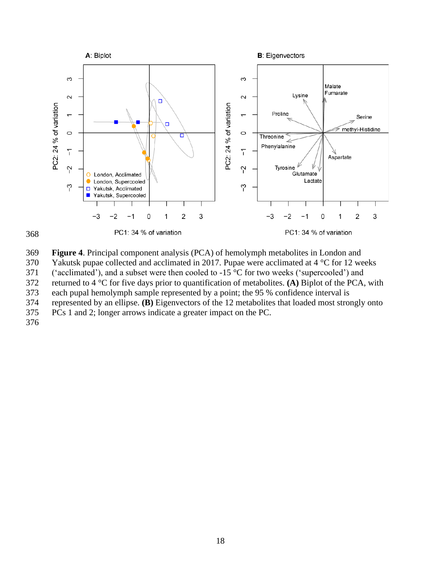



**Figure 4**. Principal component analysis (PCA) of hemolymph metabolites in London and

Yakutsk pupae collected and acclimated in 2017. Pupae were acclimated at 4 °C for 12 weeks

('acclimated'), and a subset were then cooled to -15 °C for two weeks ('supercooled') and

returned to 4 °C for five days prior to quantification of metabolites. **(A)** Biplot of the PCA, with

each pupal hemolymph sample represented by a point; the 95 % confidence interval is

represented by an ellipse. **(B)** Eigenvectors of the 12 metabolites that loaded most strongly onto

PCs 1 and 2; longer arrows indicate a greater impact on the PC.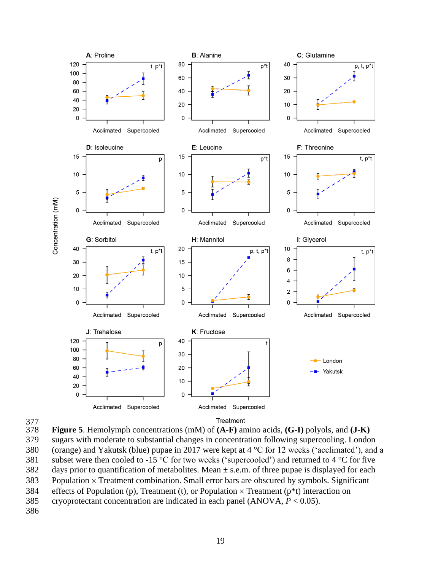



377<br>378 **Figure 5**. Hemolymph concentrations (mM) of **(A-F)** amino acids, **(G-I)** polyols, and **(J-K)** sugars with moderate to substantial changes in concentration following supercooling. London (orange) and Yakutsk (blue) pupae in 2017 were kept at 4 °C for 12 weeks ('acclimated'), and a 381 subset were then cooled to -15  $\degree$ C for two weeks ('supercooled') and returned to 4  $\degree$ C for five 382 days prior to quantification of metabolites. Mean  $\pm$  s.e.m. of three pupae is displayed for each Population  $\times$  Treatment combination. Small error bars are obscured by symbols. Significant 384 effects of Population (p), Treatment (t), or Population  $\times$  Treatment (p<sup>\*</sup>t) interaction on cryoprotectant concentration are indicated in each panel (ANOVA, *P* < 0.05).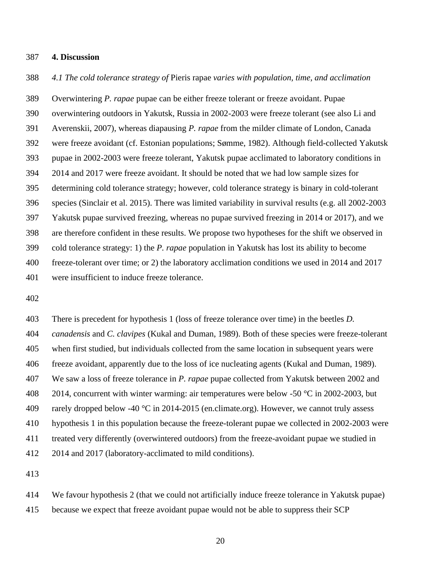#### **4. Discussion**

*4.1 The cold tolerance strategy of* Pieris rapae *varies with population, time, and acclimation*

 Overwintering *P. rapae* pupae can be either freeze tolerant or freeze avoidant. Pupae overwintering outdoors in Yakutsk, Russia in 2002-2003 were freeze tolerant (see also Li and Averenskii, 2007), whereas diapausing *P. rapae* from the milder climate of London, Canada were freeze avoidant (cf. Estonian populations; Sømme, 1982). Although field-collected Yakutsk pupae in 2002-2003 were freeze tolerant, Yakutsk pupae acclimated to laboratory conditions in 2014 and 2017 were freeze avoidant. It should be noted that we had low sample sizes for determining cold tolerance strategy; however, cold tolerance strategy is binary in cold-tolerant species (Sinclair et al. 2015). There was limited variability in survival results (e.g. all 2002-2003 Yakutsk pupae survived freezing, whereas no pupae survived freezing in 2014 or 2017), and we are therefore confident in these results. We propose two hypotheses for the shift we observed in cold tolerance strategy: 1) the *P. rapae* population in Yakutsk has lost its ability to become freeze-tolerant over time; or 2) the laboratory acclimation conditions we used in 2014 and 2017 were insufficient to induce freeze tolerance.

 There is precedent for hypothesis 1 (loss of freeze tolerance over time) in the beetles *D. canadensis* and *C. clavipes* (Kukal and Duman, 1989). Both of these species were freeze-tolerant when first studied, but individuals collected from the same location in subsequent years were freeze avoidant, apparently due to the loss of ice nucleating agents (Kukal and Duman, 1989). We saw a loss of freeze tolerance in *P. rapae* pupae collected from Yakutsk between 2002 and 408 2014, concurrent with winter warming: air temperatures were below -50  $\degree$ C in 2002-2003, but 409 rarely dropped below -40  $\degree$ C in 2014-2015 (en.climate.org). However, we cannot truly assess hypothesis 1 in this population because the freeze-tolerant pupae we collected in 2002-2003 were treated very differently (overwintered outdoors) from the freeze-avoidant pupae we studied in 2014 and 2017 (laboratory-acclimated to mild conditions).

 We favour hypothesis 2 (that we could not artificially induce freeze tolerance in Yakutsk pupae) because we expect that freeze avoidant pupae would not be able to suppress their SCP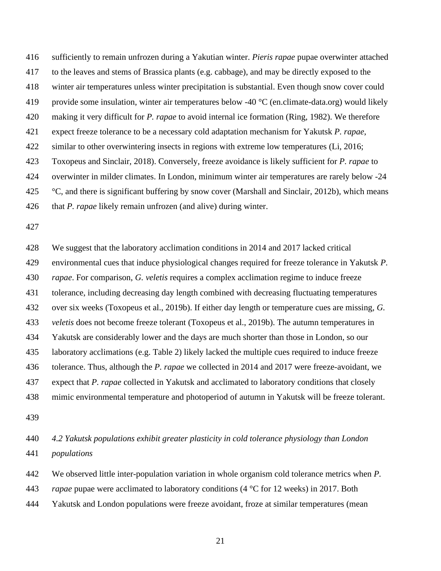sufficiently to remain unfrozen during a Yakutian winter. *Pieris rapae* pupae overwinter attached to the leaves and stems of Brassica plants (e.g. cabbage), and may be directly exposed to the winter air temperatures unless winter precipitation is substantial. Even though snow cover could 419 provide some insulation, winter air temperatures below -40 °C (en.climate-data.org) would likely making it very difficult for *P. rapae* to avoid internal ice formation (Ring, 1982). We therefore expect freeze tolerance to be a necessary cold adaptation mechanism for Yakutsk *P. rapae*, 422 similar to other overwintering insects in regions with extreme low temperatures (Li, 2016; Toxopeus and Sinclair, 2018). Conversely, freeze avoidance is likely sufficient for *P. rapae* to overwinter in milder climates. In London, minimum winter air temperatures are rarely below -24  $\degree$ °C, and there is significant buffering by snow cover (Marshall and Sinclair, 2012b), which means that *P. rapae* likely remain unfrozen (and alive) during winter.

 We suggest that the laboratory acclimation conditions in 2014 and 2017 lacked critical environmental cues that induce physiological changes required for freeze tolerance in Yakutsk *P. rapae*. For comparison, *G. veletis* requires a complex acclimation regime to induce freeze tolerance, including decreasing day length combined with decreasing fluctuating temperatures over six weeks (Toxopeus et al., 2019b). If either day length or temperature cues are missing, *G. veletis* does not become freeze tolerant (Toxopeus et al., 2019b). The autumn temperatures in Yakutsk are considerably lower and the days are much shorter than those in London, so our laboratory acclimations (e.g. Table 2) likely lacked the multiple cues required to induce freeze tolerance. Thus, although the *P. rapae* we collected in 2014 and 2017 were freeze-avoidant, we expect that *P. rapae* collected in Yakutsk and acclimated to laboratory conditions that closely mimic environmental temperature and photoperiod of autumn in Yakutsk will be freeze tolerant.

 *4.2 Yakutsk populations exhibit greater plasticity in cold tolerance physiology than London populations*

We observed little inter-population variation in whole organism cold tolerance metrics when *P.* 

*rapae* pupae were acclimated to laboratory conditions (4 °C for 12 weeks) in 2017. Both

Yakutsk and London populations were freeze avoidant, froze at similar temperatures (mean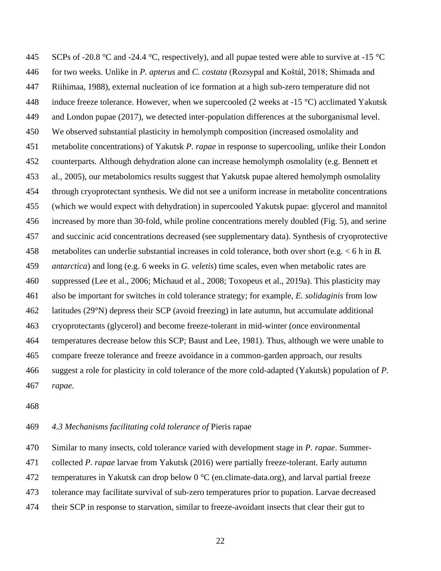445 SCPs of -20.8 °C and -24.4 °C, respectively), and all pupae tested were able to survive at -15 °C for two weeks. Unlike in *P. apterus* and *C. costata* (Rozsypal and Koštál, 2018; Shimada and Riihimaa, 1988), external nucleation of ice formation at a high sub-zero temperature did not 448 induce freeze tolerance. However, when we supercooled (2 weeks at  $-15 \degree C$ ) acclimated Yakutsk and London pupae (2017), we detected inter-population differences at the suborganismal level. We observed substantial plasticity in hemolymph composition (increased osmolality and metabolite concentrations) of Yakutsk *P. rapae* in response to supercooling, unlike their London counterparts. Although dehydration alone can increase hemolymph osmolality (e.g. Bennett et al., 2005), our metabolomics results suggest that Yakutsk pupae altered hemolymph osmolality through cryoprotectant synthesis. We did not see a uniform increase in metabolite concentrations (which we would expect with dehydration) in supercooled Yakutsk pupae: glycerol and mannitol increased by more than 30-fold, while proline concentrations merely doubled (Fig. 5), and serine and succinic acid concentrations decreased (see supplementary data). Synthesis of cryoprotective metabolites can underlie substantial increases in cold tolerance, both over short (e.g. < 6 h in *B. antarctica*) and long (e.g. 6 weeks in *G. veletis*) time scales, even when metabolic rates are suppressed (Lee et al., 2006; Michaud et al., 2008; Toxopeus et al., 2019a). This plasticity may also be important for switches in cold tolerance strategy; for example, *E. solidaginis* from low latitudes (29°N) depress their SCP (avoid freezing) in late autumn, but accumulate additional cryoprotectants (glycerol) and become freeze-tolerant in mid-winter (once environmental temperatures decrease below this SCP; Baust and Lee, 1981). Thus, although we were unable to compare freeze tolerance and freeze avoidance in a common-garden approach, our results suggest a role for plasticity in cold tolerance of the more cold-adapted (Yakutsk) population of *P. rapae*.

## *4.3 Mechanisms facilitating cold tolerance of* Pieris rapae

Similar to many insects, cold tolerance varied with development stage in *P. rapae*. Summer-

collected *P. rapae* larvae from Yakutsk (2016) were partially freeze-tolerant. Early autumn

472 temperatures in Yakutsk can drop below  $0^{\circ}$ C (en.climate-data.org), and larval partial freeze

tolerance may facilitate survival of sub-zero temperatures prior to pupation. Larvae decreased

their SCP in response to starvation, similar to freeze-avoidant insects that clear their gut to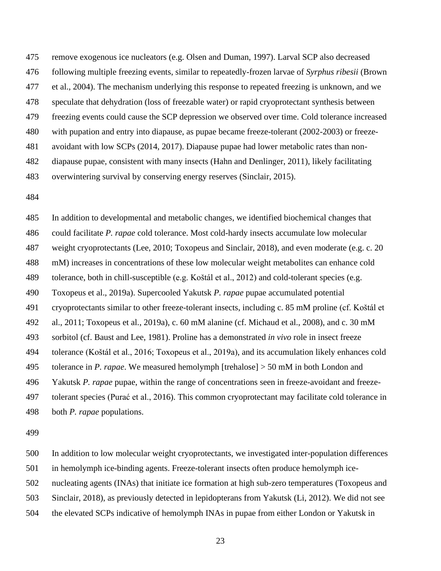remove exogenous ice nucleators (e.g. Olsen and Duman, 1997). Larval SCP also decreased following multiple freezing events, similar to repeatedly-frozen larvae of *Syrphus ribesii* (Brown et al., 2004). The mechanism underlying this response to repeated freezing is unknown, and we speculate that dehydration (loss of freezable water) or rapid cryoprotectant synthesis between freezing events could cause the SCP depression we observed over time. Cold tolerance increased with pupation and entry into diapause, as pupae became freeze-tolerant (2002-2003) or freeze- avoidant with low SCPs (2014, 2017). Diapause pupae had lower metabolic rates than non- diapause pupae, consistent with many insects (Hahn and Denlinger, 2011), likely facilitating overwintering survival by conserving energy reserves (Sinclair, 2015).

 In addition to developmental and metabolic changes, we identified biochemical changes that could facilitate *P. rapae* cold tolerance. Most cold-hardy insects accumulate low molecular weight cryoprotectants (Lee, 2010; Toxopeus and Sinclair, 2018), and even moderate (e.g. c. 20 mM) increases in concentrations of these low molecular weight metabolites can enhance cold tolerance, both in chill-susceptible (e.g. Koštál et al., 2012) and cold-tolerant species (e.g. Toxopeus et al., 2019a). Supercooled Yakutsk *P. rapae* pupae accumulated potential cryoprotectants similar to other freeze-tolerant insects, including c. 85 mM proline (cf. Koštál et al., 2011; Toxopeus et al., 2019a), c. 60 mM alanine (cf. Michaud et al., 2008), and c. 30 mM sorbitol (cf. Baust and Lee, 1981). Proline has a demonstrated *in vivo* role in insect freeze tolerance (Koštál et al., 2016; Toxopeus et al., 2019a), and its accumulation likely enhances cold tolerance in *P. rapae*. We measured hemolymph [trehalose] > 50 mM in both London and Yakutsk *P. rapae* pupae, within the range of concentrations seen in freeze-avoidant and freeze- tolerant species (Purać et al., 2016). This common cryoprotectant may facilitate cold tolerance in both *P. rapae* populations.

In addition to low molecular weight cryoprotectants, we investigated inter-population differences

in hemolymph ice-binding agents. Freeze-tolerant insects often produce hemolymph ice-

nucleating agents (INAs) that initiate ice formation at high sub-zero temperatures (Toxopeus and

Sinclair, 2018), as previously detected in lepidopterans from Yakutsk (Li, 2012). We did not see

the elevated SCPs indicative of hemolymph INAs in pupae from either London or Yakutsk in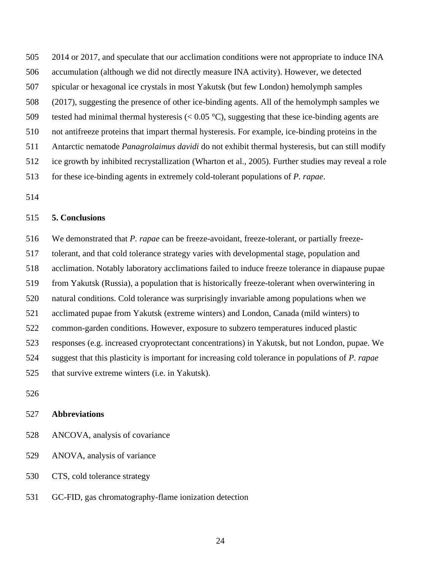2014 or 2017, and speculate that our acclimation conditions were not appropriate to induce INA

- accumulation (although we did not directly measure INA activity). However, we detected
- spicular or hexagonal ice crystals in most Yakutsk (but few London) hemolymph samples
- (2017), suggesting the presence of other ice-binding agents. All of the hemolymph samples we
- 509 tested had minimal thermal hysteresis ( $< 0.05 °C$ ), suggesting that these ice-binding agents are
- not antifreeze proteins that impart thermal hysteresis. For example, ice-binding proteins in the
- Antarctic nematode *Panagrolaimus davidi* do not exhibit thermal hysteresis, but can still modify
- ice growth by inhibited recrystallization (Wharton et al., 2005). Further studies may reveal a role
- for these ice-binding agents in extremely cold-tolerant populations of *P. rapae*.
- 

## **5. Conclusions**

 We demonstrated that *P. rapae* can be freeze-avoidant, freeze-tolerant, or partially freeze- tolerant, and that cold tolerance strategy varies with developmental stage, population and acclimation. Notably laboratory acclimations failed to induce freeze tolerance in diapause pupae from Yakutsk (Russia), a population that is historically freeze-tolerant when overwintering in natural conditions. Cold tolerance was surprisingly invariable among populations when we acclimated pupae from Yakutsk (extreme winters) and London, Canada (mild winters) to common-garden conditions. However, exposure to subzero temperatures induced plastic responses (e.g. increased cryoprotectant concentrations) in Yakutsk, but not London, pupae. We suggest that this plasticity is important for increasing cold tolerance in populations of *P. rapae*  that survive extreme winters (i.e. in Yakutsk).

## **Abbreviations**

- ANCOVA, analysis of covariance
- ANOVA, analysis of variance
- CTS, cold tolerance strategy
- GC-FID, gas chromatography-flame ionization detection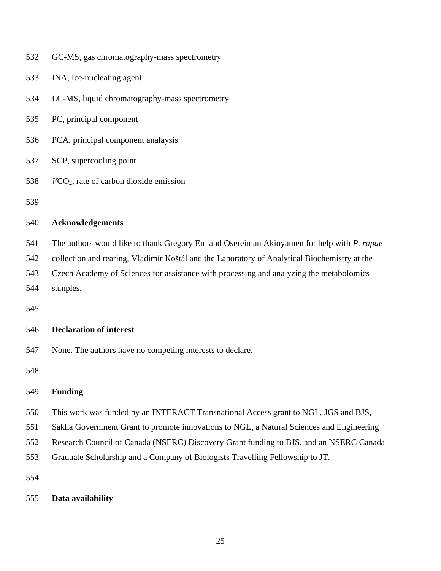| 532 | GC-MS, gas chromatography-mass spectrometry                                                  |
|-----|----------------------------------------------------------------------------------------------|
| 533 | INA, Ice-nucleating agent                                                                    |
| 534 | LC-MS, liquid chromatography-mass spectrometry                                               |
| 535 | PC, principal component                                                                      |
| 536 | PCA, principal component analaysis                                                           |
| 537 | SCP, supercooling point                                                                      |
| 538 | $VCO2$ , rate of carbon dioxide emission                                                     |
| 539 |                                                                                              |
| 540 | <b>Acknowledgements</b>                                                                      |
| 541 | The authors would like to thank Gregory Em and Osereiman Akioyamen for help with P. rapae    |
| 542 | collection and rearing, Vladimír Koštál and the Laboratory of Analytical Biochemistry at the |
| 543 | Czech Academy of Sciences for assistance with processing and analyzing the metabolomics      |
| 544 | samples.                                                                                     |
| 545 |                                                                                              |
| 546 | <b>Declaration of interest</b>                                                               |
| 547 | None. The authors have no competing interests to declare.                                    |
| 548 |                                                                                              |
| 549 | <b>Funding</b>                                                                               |
| 550 | This work was funded by an INTERACT Transnational Access grant to NGL, JGS and BJS,          |
| 551 | Sakha Government Grant to promote innovations to NGL, a Natural Sciences and Engineering     |
| 552 | Research Council of Canada (NSERC) Discovery Grant funding to BJS, and an NSERC Canada       |
| 553 | Graduate Scholarship and a Company of Biologists Travelling Fellowship to JT.                |
| 554 |                                                                                              |

**Data availability**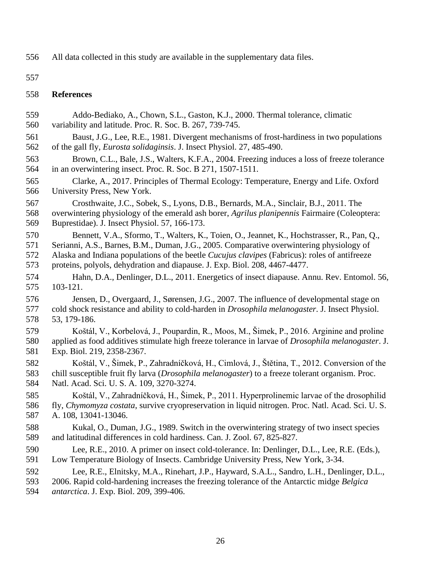All data collected in this study are available in the supplementary data files.

## **References**

 Addo-Bediako, A., Chown, S.L., Gaston, K.J., 2000. Thermal tolerance, climatic variability and latitude. Proc. R. Soc. B. 267, 739-745. Baust, J.G., Lee, R.E., 1981. Divergent mechanisms of frost-hardiness in two populations of the gall fly, *Eurosta solidaginsis*. J. Insect Physiol. 27, 485-490. Brown, C.L., Bale, J.S., Walters, K.F.A., 2004. Freezing induces a loss of freeze tolerance in an overwintering insect. Proc. R. Soc. B 271, 1507-1511. Clarke, A., 2017. Principles of Thermal Ecology: Temperature, Energy and Life. Oxford University Press, New York. Crosthwaite, J.C., Sobek, S., Lyons, D.B., Bernards, M.A., Sinclair, B.J., 2011. The overwintering physiology of the emerald ash borer, *Agrilus planipennis* Fairmaire (Coleoptera: Buprestidae). J. Insect Physiol. 57, 166-173. Bennett, V.A., Sformo, T., Walters, K., Toien, O., Jeannet, K., Hochstrasser, R., Pan, Q., Serianni, A.S., Barnes, B.M., Duman, J.G., 2005. Comparative overwintering physiology of Alaska and Indiana populations of the beetle *Cucujus clavipes* (Fabricus): roles of antifreeze proteins, polyols, dehydration and diapause. J. Exp. Biol. 208, 4467-4477. Hahn, D.A., Denlinger, D.L., 2011. Energetics of insect diapause. Annu. Rev. Entomol. 56, 103-121. Jensen, D., Overgaard, J., Sørensen, J.G., 2007. The influence of developmental stage on cold shock resistance and ability to cold-harden in *Drosophila melanogaster*. J. Insect Physiol. 53, 179-186. Koštál, V., Korbelová, J., Poupardin, R., Moos, M., Šimek, P., 2016. Arginine and proline applied as food additives stimulate high freeze tolerance in larvae of *Drosophila melanogaster*. J. Exp. Biol. 219, 2358-2367. Koštál, V., Šimek, P., Zahradníčková, H., Cimlová, J., Štětina, T., 2012. Conversion of the chill susceptible fruit fly larva (*Drosophila melanogaster*) to a freeze tolerant organism. Proc. Natl. Acad. Sci. U. S. A. 109, 3270-3274. Koštál, V., Zahradníčková, H., Šimek, P., 2011. Hyperprolinemic larvae of the drosophilid fly, *Chymomyza costata*, survive cryopreservation in liquid nitrogen. Proc. Natl. Acad. Sci. U. S. A. 108, 13041-13046. Kukal, O., Duman, J.G., 1989. Switch in the overwintering strategy of two insect species and latitudinal differences in cold hardiness. Can. J. Zool. 67, 825-827. Lee, R.E., 2010. A primer on insect cold-tolerance. In: Denlinger, D.L., Lee, R.E. (Eds.), Low Temperature Biology of Insects. Cambridge University Press, New York, 3-34. Lee, R.E., Elnitsky, M.A., Rinehart, J.P., Hayward, S.A.L., Sandro, L.H., Denlinger, D.L., 2006. Rapid cold-hardening increases the freezing tolerance of the Antarctic midge *Belgica antarctica*. J. Exp. Biol. 209, 399-406.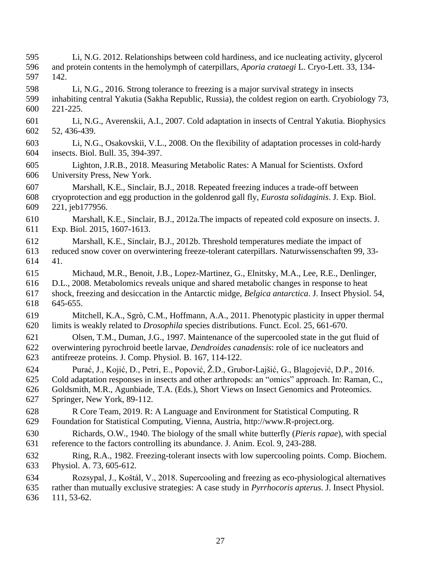Li, N.G. 2012. Relationships between cold hardiness, and ice nucleating activity, glycerol and protein contents in the hemolymph of caterpillars, *Aporia crataegi* L. Cryo-Lett. 33, 134- 142. Li, N.G., 2016. Strong tolerance to freezing is a major survival strategy in insects inhabiting central Yakutia (Sakha Republic, Russia), the coldest region on earth. Cryobiology 73, 221-225. Li, N.G., Averenskii, A.I., 2007. Cold adaptation in insects of Central Yakutia. Biophysics 52, 436-439. Li, N.G., Osakovskii, V.L., 2008. On the flexibility of adaptation processes in cold-hardy insects. Biol. Bull. 35, 394-397. Lighton, J.R.B., 2018. Measuring Metabolic Rates: A Manual for Scientists. Oxford University Press, New York. Marshall, K.E., Sinclair, B.J., 2018. Repeated freezing induces a trade-off between cryoprotection and egg production in the goldenrod gall fly, *Eurosta solidaginis*. J. Exp. Biol. 221, jeb177956. Marshall, K.E., Sinclair, B.J., 2012a.The impacts of repeated cold exposure on insects. J. Exp. Biol. 2015, 1607-1613. Marshall, K.E., Sinclair, B.J., 2012b. Threshold temperatures mediate the impact of reduced snow cover on overwintering freeze-tolerant caterpillars. Naturwissenschaften 99, 33- 41. Michaud, M.R., Benoit, J.B., Lopez-Martinez, G., Elnitsky, M.A., Lee, R.E., Denlinger, D.L., 2008. Metabolomics reveals unique and shared metabolic changes in response to heat shock, freezing and desiccation in the Antarctic midge, *Belgica antarctica*. J. Insect Physiol. 54, 645-655. Mitchell, K.A., Sgrò, C.M., Hoffmann, A.A., 2011. Phenotypic plasticity in upper thermal limits is weakly related to *Drosophila* species distributions. Funct. Ecol. 25, 661-670. Olsen, T.M., Duman, J.G., 1997. Maintenance of the supercooled state in the gut fluid of overwintering pyrochroid beetle larvae, *Dendroides canadensis*: role of ice nucleators and antifreeze proteins. J. Comp. Physiol. B. 167, 114-122. Purać, J., Kojić, D., Petri, E., Popović, Ž.D., Grubor-Lajšić, G., Blagojević, D.P., 2016. Cold adaptation responses in insects and other arthropods: an "omics" approach. In: Raman, C., Goldsmith, M.R., Agunbiade, T.A. (Eds.), Short Views on Insect Genomics and Proteomics. Springer, New York, 89-112. R Core Team, 2019. R: A Language and Environment for Statistical Computing. R Foundation for Statistical Computing, Vienna, Austria, http://www.R-project.org. Richards, O.W., 1940. The biology of the small white butterfly (*Pieris rapae*), with special reference to the factors controlling its abundance. J. Anim. Ecol. 9, 243-288. Ring, R.A., 1982. Freezing-tolerant insects with low supercooling points. Comp. Biochem. Physiol. A. 73, 605-612. Rozsypal, J., Koštál, V., 2018. Supercooling and freezing as eco-physiological alternatives rather than mutually exclusive strategies: A case study in *Pyrrhocoris apterus*. J. Insect Physiol. 111, 53-62.